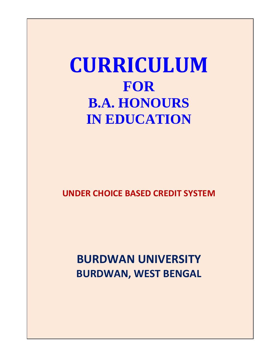# **CURRICULUM FOR B.A. HONOURS IN EDUCATION**

**UNDER CHOICE BASED CREDIT SYSTEM**

**BURDWAN UNIVERSITY BURDWAN, WEST BENGAL**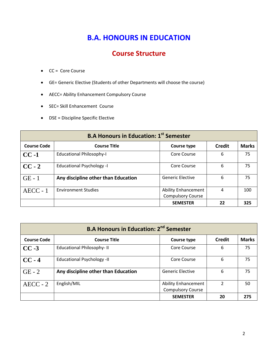## **B.A. HONOURS IN EDUCATION**

## **Course Structure**

- CC = Core Course
- GE= Generic Elective (Students of other Departments will choose the course)
- AECC= Ability Enhancement Compulsory Course
- SEC= Skill Enhancement Course
- DSE = Discipline Specific Elective

| <b>B.A Honours in Education: 1st Semester</b> |                                     |                                                        |               |              |
|-----------------------------------------------|-------------------------------------|--------------------------------------------------------|---------------|--------------|
| <b>Course Code</b>                            | <b>Course Title</b>                 | Course type                                            | <b>Credit</b> | <b>Marks</b> |
| $CC -1$                                       | <b>Educational Philosophy-I</b>     | Core Course                                            | 6             | 75           |
| $CC - 2$                                      | <b>Educational Psychology -I</b>    | Core Course                                            | 6             | 75           |
| $GE - 1$                                      | Any discipline other than Education | <b>Generic Elective</b>                                | 6             | 75           |
| $AECC - 1$                                    | <b>Environment Studies</b>          | <b>Ability Enhancement</b><br><b>Compulsory Course</b> | 4             | 100          |
|                                               |                                     | <b>SEMESTER</b>                                        | 22            | 325          |

| <b>B.A Honours in Education: 2<sup>nd</sup> Semester</b> |                                     |                                                        |               |              |  |
|----------------------------------------------------------|-------------------------------------|--------------------------------------------------------|---------------|--------------|--|
| <b>Course Code</b>                                       | <b>Course Title</b>                 | Course type                                            | <b>Credit</b> | <b>Marks</b> |  |
| $CC -3$                                                  | <b>Educational Philosophy-II</b>    | Core Course                                            | 6             | 75           |  |
| $CC - 4$                                                 | <b>Educational Psychology -II</b>   | Core Course                                            | 6             | 75           |  |
| $GE - 2$                                                 | Any discipline other than Education | <b>Generic Elective</b>                                | 6             | 75           |  |
| $AECC - 2$                                               | English/MIL                         | <b>Ability Enhancement</b><br><b>Compulsory Course</b> | $\mathcal{P}$ | 50           |  |
|                                                          |                                     | <b>SEMESTER</b>                                        | 20            | 275          |  |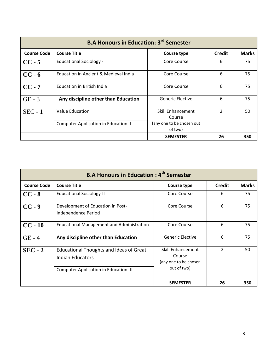| <b>B.A Honours in Education: 3<sup>rd</sup> Semester</b> |                                       |                                      |                          |              |  |
|----------------------------------------------------------|---------------------------------------|--------------------------------------|--------------------------|--------------|--|
| <b>Course Code</b>                                       | <b>Course Title</b>                   | Course type                          | <b>Credit</b>            | <b>Marks</b> |  |
| $CC - 5$                                                 | <b>Educational Sociology -I</b>       | Core Course                          | 6                        | 75           |  |
| $CC - 6$                                                 | Education in Ancient & Medieval India | Core Course                          | 6                        | 75           |  |
| $CC - 7$                                                 | <b>Education in British India</b>     | Core Course                          | 6                        | 75           |  |
| $GE - 3$                                                 | Any discipline other than Education   | <b>Generic Elective</b>              | 6                        | 75           |  |
| $SEC - 1$                                                | Value Education                       | Skill Enhancement<br>Course          | $\overline{\mathcal{L}}$ | 50           |  |
|                                                          | Computer Application in Education -I  | (any one to be chosen out<br>of two) |                          |              |  |
|                                                          |                                       | <b>SEMESTER</b>                      | 26                       | 350          |  |

| <b>B.A Honours in Education: 4th Semester</b> |                                                                                                                          |                                                                     |                |              |  |
|-----------------------------------------------|--------------------------------------------------------------------------------------------------------------------------|---------------------------------------------------------------------|----------------|--------------|--|
| <b>Course Code</b>                            | <b>Course Title</b>                                                                                                      | Course type                                                         | <b>Credit</b>  | <b>Marks</b> |  |
| $CC - 8$                                      | <b>Educational Sociology-II</b>                                                                                          | Core Course                                                         | 6              | 75           |  |
| $CC - 9$                                      | Development of Education in Post-<br>Independence Period                                                                 | Core Course                                                         | 6              | 75           |  |
| $CC - 10$                                     | <b>Educational Management and Administration</b>                                                                         | Core Course                                                         | 6              | 75           |  |
| $GE - 4$                                      | Any discipline other than Education                                                                                      | <b>Generic Elective</b>                                             | 6              | 75           |  |
| $SEC - 2$                                     | <b>Educational Thoughts and Ideas of Great</b><br><b>Indian Educators</b><br><b>Computer Application in Education-II</b> | Skill Enhancement<br>Course<br>(any one to be chosen<br>out of two) | $\mathfrak{p}$ | 50           |  |
|                                               |                                                                                                                          | <b>SEMESTER</b>                                                     | 26             | 350          |  |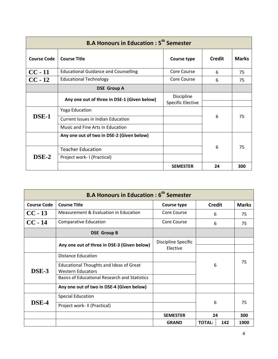| <b>B.A Honours in Education: 5<sup>th</sup> Semester</b> |                                             |                                        |               |              |
|----------------------------------------------------------|---------------------------------------------|----------------------------------------|---------------|--------------|
| <b>Course Code</b>                                       | <b>Course Title</b>                         | Course type                            | <b>Credit</b> | <b>Marks</b> |
| $CC - 11$                                                | <b>Educational Guidance and Counselling</b> | Core Course                            | 6             | 75           |
| $CC - 12$                                                | <b>Educational Technology</b>               | Core Course                            | 6             | 75           |
|                                                          | <b>DSE Group A</b>                          |                                        |               |              |
|                                                          | Any one out of three in DSE-1 (Given below) | Discipline<br><b>Specific Elective</b> |               |              |
|                                                          | <b>Yoga Education</b>                       |                                        |               | 75           |
| DSE-1                                                    | <b>Current Issues in Indian Education</b>   |                                        | 6             |              |
|                                                          | Music and Fine Arts in Education            |                                        |               |              |
|                                                          | Any one out of two in DSE-2 (Given below)   |                                        |               |              |
| DSE-2                                                    | <b>Teacher Education</b>                    |                                        | 6             | 75           |
|                                                          | Project work- I (Practical)                 |                                        |               |              |
|                                                          |                                             | <b>SEMESTER</b>                        | 24            | 300          |

| <b>B.A Honours in Education: 6<sup>th</sup> Semester</b> |                                                      |                     |               |     |              |  |
|----------------------------------------------------------|------------------------------------------------------|---------------------|---------------|-----|--------------|--|
| <b>Course Code</b>                                       | <b>Course Title</b>                                  | Course type         | <b>Credit</b> |     | <b>Marks</b> |  |
| $CC - 13$                                                | Measurement & Evaluation in Education                | Core Course         | 6             |     | 75           |  |
| $CC - 14$                                                | <b>Comparative Education</b>                         | Core Course         | 6             |     | 75           |  |
|                                                          | <b>DSE Group B</b>                                   |                     |               |     |              |  |
|                                                          | Any one out of three in DSE-3 (Given below)          | Discipline Specific |               |     |              |  |
|                                                          |                                                      | Elective            |               |     |              |  |
|                                                          | Distance Education                                   |                     | 6             |     |              |  |
|                                                          | <b>Educational Thoughts and Ideas of Great</b>       |                     |               |     | 75           |  |
| DSE-3                                                    | <b>Western Educators</b>                             |                     |               |     |              |  |
|                                                          | <b>Basics of Educational Research and Statistics</b> |                     |               |     |              |  |
|                                                          | Any one out of two in DSE-4 (Given below)            |                     |               |     |              |  |
|                                                          | <b>Special Education</b>                             |                     |               |     |              |  |
| DSE-4                                                    | Project work-II (Practical)                          |                     | 6             | 75  |              |  |
|                                                          |                                                      | <b>SEMESTER</b>     | 24            |     | 300          |  |
|                                                          |                                                      | <b>GRAND</b>        | <b>TOTAL:</b> | 142 | 1900         |  |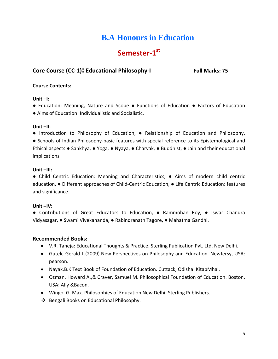## **B.A Honours in Education**

## Semester-1st

## **Core Course (CC-1): Educational Philosophy-I Full Marks: 75**

## **Course Contents:**

## **Unit –I:**

- Education: Meaning, Nature and Scope Functions of Education Factors of Education
- Aims of Education: Individualistic and Socialistic.

## **Unit –II:**

● Introduction to Philosophy of Education, ● Relationship of Education and Philosophy,

● Schools of Indian Philosophy-basic features with special reference to its Epistemological and Ethical aspects ● Sankhya, ● Yoga, ● Nyaya, ● Charvak, ● Buddhist, ● Jain and their educational implications

## **Unit –III:**

● Child Centric Education: Meaning and Characteristics, ● Aims of modern child centric education, ● Different approaches of Child-Centric Education, ● Life Centric Education: features and significance.

## **Unit –IV:**

● Contributions of Great Educators to Education, ● Rammohan Roy, ● Iswar Chandra Vidyasagar, ● Swami Vivekananda, ● Rabindranath Tagore, ● Mahatma Gandhi.

- V.R. Taneja: Educational Thoughts & Practice. Sterling Publication Pvt. Ltd. New Delhi.
- Gutek, Gerald L.(2009).New Perspectives on Philosophy and Education. NewJersy, USA: pearson.
- Nayak,B.K Text Book of Foundation of Education. Cuttack, Odisha: KitabMhal.
- Ozman, Howard A.,& Craver, Samuel M. Philosophical Foundation of Education. Boston, USA: Ally &Bacon.
- Wingo. G. Max. Philosophies of Education New Delhi: Sterling Publishers.
- ❖ Bengali Books on Educational Philosophy.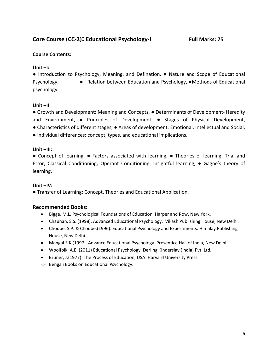## **Core Course (CC-2): Educational Psychology-I Full Marks: 75**

## **Course Contents:**

## **Unit –I:**

**●** Introduction to Psychology, Meaning, and Defination, ● Nature and Scope of Educational Psychology, ● Relation between Education and Psychology, ●Methods of Educational psychology

## **Unit –II:**

● Growth and Development: Meaning and Concepts, ● Determinants of Development- Heredity and Environment, ● Principles of Development, ● Stages of Physical Development, ● Characteristics of different stages, ● Areas of development: Emotional, Intellectual and Social, ● Individual differences: concept, types, and educational implications.

## **Unit –III:**

● Concept of learning, ● Factors associated with learning, ● Theories of learning: Trial and Error, Classical Conditioning; Operant Conditioning, Insightful learning, ● Gagne's theory of learning,

## **Unit –IV:**

● Transfer of Learning: Concept, Theories and Educational Application.

- Bigge, M.L. Psychological Foundations of Education. Harper and Row, New York.
- Chauhan, S.S. (1998). Advanced Educational Psychology. Vikash Publishing House, New Delhi.
- Choube, S.P. & Choube.(1996). Educational Psychology and Experriments. Himalay Publishing House, New Delhi.
- Mangal S.K (1997). Advance Educational Psychology. Presentice Hall of India, New Delhi.
- Woolfolk, A.E. (2011) Educational Psychology. Derling Kinderslay (India) Pvt. Ltd.
- Bruner, J.(1977). The Process of Education, USA: Harvard University Press.
- ❖ Bengali Books on Educational Psychology.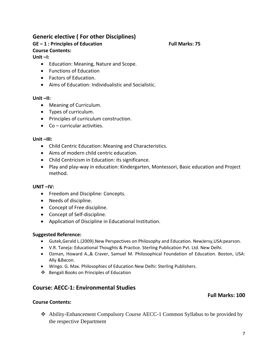## **Generic elective ( For other Disciplines) GE – 1 : Principles of Education Full Marks: 75**

## **Unit –I:**

**Course Contents:**

- Education: Meaning, Nature and Scope.
- Functions of Education
- Factors of Education.
- Aims of Education: Individualistic and Socialistic.

### **Unit –II:**

- Meaning of Curriculum.
- Types of curriculum.
- Principles of curriculum construction.
- Co curricular activities.

## **Unit –III:**

- Child Centric Education: Meaning and Characteristics.
- Aims of modern child centric education.
- Child Centricism in Education: its significance.
- Play and play-way in education: Kindergarten, Montessori, Basic education and Project method.

## **UNIT –IV:**

- Freedom and Discipline: Concepts.
- Needs of discipline.
- Concept of Free discipline.
- Concept of Self-discipline.
- Application of Discipline in Educational Institution.

## **Suggested Reference:**

- Gutek,Gerald L.(2009).New Perspectives on Philosophy and Education. NewJersy,USA:pearson.
- V.R. Taneja: Educational Thoughts & Practice. Sterling Publication Pvt. Ltd. New Delhi.
- Ozman, Howard A.,& Craver, Samuel M. Philosophical Foundation of Education. Boston, USA: Ally &Bacon.
- Wingo. G. Max. Philosophies of Education New Delhi: Sterling Publishers.
- Bengali Books on Principles of Education

## **Course: AECC-1: Environmental Studies**

### **Course Contents:**

 Ability-Enhancement Compulsory Course AECC-1 Common Syllabus to be provided by the respective Department

**Full Marks: 100**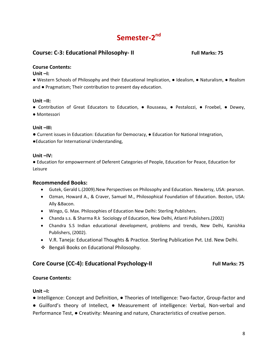## Semester-2<sup>nd</sup>

## **Course: C-3: Educational Philosophy-II** Full Marks: 75

## **Course Contents:**

## **Unit –I:**

● Western Schools of Philosophy and their Educational Implication, ● Idealism, ● Naturalism, ● Realism and ● Pragmatism; Their contribution to present day education.

## **Unit –II:**

● Contribution of Great Educators to Education, ● Rousseau, ● Pestalozzi, ● Froebel, ● Dewey,

● Montessori

## **Unit –III:**

**●** Current issues in Education: Education for Democracy, ● Education for National Integration,

●Education for International Understanding,

## **Unit –IV:**

● Education for empowerment of Deferent Categories of People, Education for Peace, Education for Leisure

## **Recommended Books:**

- Gutek, Gerald L.(2009).New Perspectives on Philosophy and Education. NewJersy, USA: pearson.
- Ozman, Howard A., & Craver, Samuel M., Philosophical Foundation of Education. Boston, USA: Ally &Bacon.
- Wingo, G. Max. Philosophies of Education New Delhi: Sterling Publishers.
- Chanda s.s. & Sharma R.k Sociology of Education, New Delhi, Atlanti Publishers.(2002)
- Chandra S.S Indian educational development, problems and trends, New Delhi, Kanishka Publishers, (2002).
- V.R. Taneja: Educational Thoughts & Practice. Sterling Publication Pvt. Ltd. New Delhi.
- ❖ Bengali Books on Educational Philosophy.

## **Core Course (CC-4): Educational Psychology-II Full Marks: 75**

## **Course Contents:**

## **Unit –I:**

● Intelligence: Concept and Definition, ● Theories of Intelligence: Two-factor, Group-factor and ● Guilford's theory of Intellect, ● Measurement of intelligence: Verbal, Non-verbal and Performance Test, ● Creativity: Meaning and nature, Characteristics of creative person.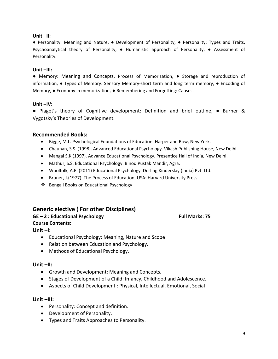## **Unit –II:**

● Personality: Meaning and Nature, ● Development of Personality, ● Personality: Types and Traits, Psychoanalytical theory of Personality, ● Humanistic approach of Personality, ● Assessment of Personality.

## **Unit –III:**

● Memory: Meaning and Concepts, Process of Memorization, ● Storage and reproduction of information, ● Types of Memory: Sensory Memory-short term and long term memory, ● Encoding of Memory, ● Economy in memorization, ● Remembering and Forgetting: Causes.

## **Unit –IV:**

● Piaget's theory of Cognitive development: Definition and brief outline, ● Burner & Vygotsky's Theories of Development.

## **Recommended Books:**

- Bigge, M.L. Psychological Foundations of Education. Harper and Row, New York.
- Chauhan, S.S. (1998). Advanced Educational Psychology. Vikash Publishing House, New Delhi.
- Mangal S.K (1997). Advance Educational Psychology. Presentice Hall of India, New Delhi.
- Mathur, S.S. Educational Psychology. Binod Pustak Mandir, Agra.
- Woolfolk, A.E. (2011) Educational Psychology. Derling Kinderslay (India) Pvt. Ltd.
- Bruner, J.(1977). The Process of Education, USA: Harvard University Press.
- ❖ Bengali Books on Educational Psychology

## **Generic elective ( For other Disciplines)**

## **GE – 2 : Educational Psychology Full Marks: 75 Course Contents:**

**Unit –I:** 

- Educational Psychology: Meaning, Nature and Scope
- Relation between Education and Psychology.
- Methods of Educational Psychology.

### **Unit –II:**

- Growth and Development: Meaning and Concepts.
- Stages of Development of a Child: Infancy, Childhood and Adolescence.
- Aspects of Child Development : Physical, Intellectual, Emotional, Social

## **Unit –III:**

- Personality: Concept and definition.
- Development of Personality.
- Types and Traits Approaches to Personality.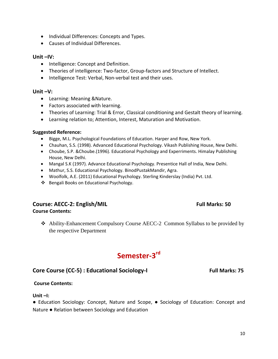- Theories of intelligence: Two-factor, Group-factors and Structure of Intellect.
- Intelligence Test: Verbal, Non-verbal test and their uses.

• Individual Differences: Concepts and Types.

#### **Unit –V:**

**Unit –IV:** 

- Learning: Meaning &Nature.
- Factors associated with learning.

• Causes of Individual Differences.

• Intelligence: Concept and Definition.

- Theories of Learning: Trial & Error, Classical conditioning and Gestalt theory of learning.
- Learning relation to; Attention, Interest, Maturation and Motivation.

#### **Suggested Reference:**

- Bigge, M.L. Psychological Foundations of Education. Harper and Row, New York.
- Chauhan, S.S. (1998). Advanced Educational Psychology. Vikash Publishing House, New Delhi.
- Choube, S.P. &Choube.(1996). Educational Psychology and Experriments. Himalay Publishing House, New Delhi.
- Mangal S.K (1997). Advance Educational Psychology. Presentice Hall of India, New Delhi.
- Mathur, S.S. Educational Psychology. BinodPustakMandir, Agra.
- Woolfolk, A.E. (2011) Educational Psychology. Sterling Kinderslay (India) Pvt. Ltd.
- ❖ Bengali Books on Educational Psychology.

## **Course: AECC-2: English/MIL Full Marks: 50 Course Contents:**

 Ability-Enhancement Compulsory Course AECC-2 Common Syllabus to be provided by the respective Department

## **Semester-3rd**

## Core Course (CC-5) : Educational Sociology-I Full Marks: 75

## **Course Contents:**

### **Unit –I:**

● Education Sociology: Concept, Nature and Scope, ● Sociology of Education: Concept and Nature ● Relation between Sociology and Education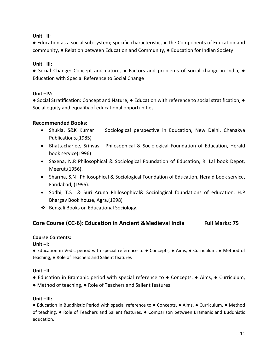## **Unit –II:**

● Education as a social sub-system; specific characteristic, ● The Components of Education and community, ● Relation between Education and Community, ● Education for Indian Society

## **Unit –III:**

● Social Change: Concept and nature, ● Factors and problems of social change in India, ● Education with Special Reference to Social Change

## **Unit –IV:**

● Social Stratification: Concept and Nature, ● Education with reference to social stratification, ● Social equity and equality of educational opportunities

## **Recommended Books:**

- Shukla, S&K Kumar Sociological perspective in Education, New Delhi, Chanakya Publications,(1985)
- Bhattacharjee, Srinvas Philosophical & Sociological Foundation of Education, Herald book service(1996)
- Saxena, N.R Philosophical & Sociological Foundation of Education, R. Lal book Depot, Meerut,(1956).
- Sharma, S.N Philosophical & Sociological Foundation of Education, Herald book service, Faridabad, (1995).
- Sodhi, T.S & Suri Aruna Philosophical& Sociological foundations of education, H.P Bhargav Book house, Agra,(1998)
- Bengali Books on Educational Sociology.

## **Core Course (CC-6): Education in Ancient &Medieval India Full Marks: 75**

## **Course Contents:**

## **Unit –I:**

● Education in Vedic period with special reference to ● Concepts, ● Aims, ● Curriculum, ● Method of teaching, ● Role of Teachers and Salient features

## **Unit –II:**

- Education in Bramanic period with special reference to Concepts, Aims, Curriculum,
- Method of teaching, Role of Teachers and Salient features

## **Unit –III:**

● Education in Buddhistic Period with special reference to ● Concepts, ● Aims, ● Curriculum, ● Method of teaching, ● Role of Teachers and Salient features, ● Comparison between Bramanic and Buddhistic education.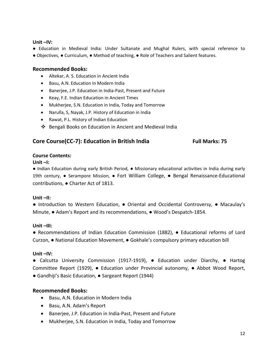## **Unit –IV:**

● Education in Medieval India: Under Sultanate and Mughal Rulers, with special reference to ● Objectives, ● Curriculum, ● Method of teaching, ● Role of Teachers and Salient features.

## **Recommended Books:**

- Altekar, A. S. Education in Ancient India
- Basu, A.N. Education in Modern India
- Banerjee, J.P. Education in India-Past, Present and Future
- Keay, F.E. Indian Education in Ancient Times
- Mukherjee, S.N. Education in India, Today and Tomorrow
- Narulla, S, Nayak, J.P. History of Education in India
- Rawat, P.L. History of Indian Education
- Bengali Books on Education in Ancient and Medieval India

## Core Course(CC-7): Education in British India Full Marks: 75

## **Course Contents:**

### **Unit –I:**

● Indian Education during early British Period, ● Missionary educational activities in India during early 19th century, ● Serampore Mission, ● Fort William College, ● Bengal Renaissance-Educational contributions, ● Charter Act of 1813.

### **Unit –II:**

● Introduction to Western Education, ● Oriental and Occidental Controversy, ● Macaulay's Minute, ● Adam's Report and its recommendations, ● Wood's Despatch-1854.

### **Unit –III:**

● Recommendations of Indian Education Commission (1882), ● Educational reforms of Lord Curzon, ● National Education Movement, ● Gokhale's compulsory primary education bill

### **Unit –IV:**

● Calcutta University Commission (1917-1919), ● Education under Diarchy, ● Hartog Committee Report (1929), ● Education under Provincial autonomy, ● Abbot Wood Report, ● Gandhiji's Basic Education, ● Sargeant Report (1944)

- Basu, A.N. Education in Modern India
- Basu, A.N. Adam's Report
- Banerjee, J.P. Education in India-Past, Present and Future
- Mukherjee, S.N. Education in India, Today and Tomorrow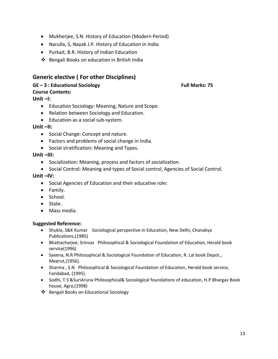- Mukherjee, S.N. History of Education (Modern Period)
- Narulla, S, Nayak J.P. History of Education in India
- Purkait, B.R. History of Indian Education
- Bengali Books on education in British India

## **Generic elective ( For other Disciplines)**

## **GE – 3 : Educational Sociology Full Marks: 75**

## **Course Contents:**

**Unit –I:**

- Education Sociology: Meaning, Nature and Scope.
- Relation between Sociology and Education.
- Education-as a social sub-system.

## **Unit –II:**

- Social Change: Concept and nature.
- Factors and problems of social change in India.
- Social stratification: Meaning and Types.

## **Unit –III:**

- Socialization: Meaning, process and factors of socialization.
- Social Control: Meaning and types of Social control, Agencies of Social Control.

## **Unit –IV:**

- Social Agencies of Education and their educative role:
- Family.
- School.
- State.
- Mass media.

## **Suggested Reference:**

- Shukla, S&K Kumar Sociological perspective in Education, New Delhi, Chanakya Publications,(1985)
- Bhattacharjee, Srinvas Philosophical & Sociological Foundation of Education, Herald book service(1996)
- Saxena, N.R Philosophical & Sociological Foundation of Education, R. Lal book Depot., Meerut,(1956).
- Sharma , S.N Philosophical & Sociological Foundation of Education, Herald book service, Faridabad, (1995).
- Sodhi, T.S &SuriAruna Philosophical& Sociological foundations of education, H.P Bhargav Book house, Agra,(1998)
- ❖ Bengali Books on Educational Sociology

13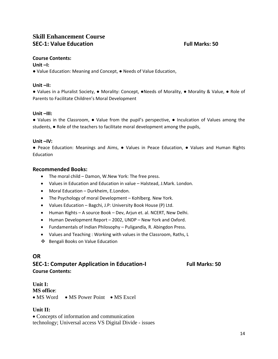## **Skill Enhancement Course SEC-1: Value Education Full Marks: 50**

## **Course Contents:**

## **Unit –I:**

● Value Education: Meaning and Concept, ● Needs of Value Education,

## **Unit –II:**

● Values in a Pluralist Society, ● Morality: Concept, ●Needs of Morality, ● Morality & Value, ● Role of Parents to Facilitate Children's Moral Development

## **Unit –III:**

● Values in the Classroom, ● Value from the pupil's perspective, ● Inculcation of Values among the students, ● Role of the teachers to facilitate moral development among the pupils,

## **Unit –IV:**

● Peace Education: Meanings and Aims, ● Values in Peace Education, ● Values and Human Rights Education

## **Recommended Books:**

- The moral child Damon, W.New York: The free press.
- Values in Education and Education in value Halstead, J.Mark. London.
- Moral Education Durkheim, E.London.
- The Psychology of moral Development Kohlberg. New York.
- Values Education Bagchi, J.P: University Book House (P) Ltd.
- Human Rights A source Book Dev, Arjun et. al. NCERT, New Delhi.
- Human Development Report 2002, UNDP New York and Oxford.
- Fundamentals of Indian Philosophy Puligandla, R. Abingdon Press.
- Values and Teaching : Working with values in the Classroom, Raths, L
- ❖ Bengali Books on Value Education

## **OR**

## **SEC-1: Computer Application in Education-I** Full Marks: 50 **Course Contents:**

## **Unit I:**

**MS office**:

• MS Word • MS Power Point • MS Excel

## **Unit II:**

• Concepts of information and communication technology; Universal access VS Digital Divide - issues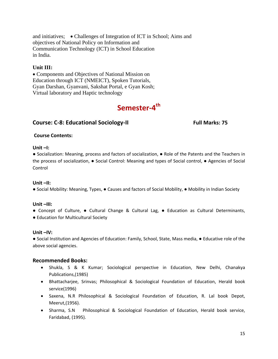and initiatives; • Challenges of Integration of ICT in School; Aims and objectives of National Policy on Information and Communication Technology (ICT) in School Education in India.

## **Unit III:**

• Components and Objectives of National Mission on Education through ICT (NMEICT), Spoken Tutorials, Gyan Darshan, Gyanvani, Sakshat Portal, e Gyan Kosh; Virtual laboratory and Haptic technology

## Semester-4<sup>th</sup>

## **Course: C-8: Educational Sociology-II** Full Marks: 75

## **Course Contents:**

## **Unit –I:**

● Socialization: Meaning, process and factors of socialization, ● Role of the Patents and the Teachers in the process of socialization, ● Social Control: Meaning and types of Social control, ● Agencies of Social Control

## **Unit –II:**

● Social Mobility: Meaning, Types, ● Causes and factors of Social Mobility, ● Mobility in Indian Society

## **Unit –III:**

- Concept of Culture, Cultural Change & Cultural Lag, Education as Cultural Determinants,
- Education for Multicultural Society

### **Unit –IV:**

● Social Institution and Agencies of Education: Family, School, State, Mass media, ● Educative role of the above social agencies.

- Shukla, S & K Kumar; Sociological perspective in Education, New Delhi, Chanakya Publications,(1985)
- Bhattacharjee, Srinvas; Philosophical & Sociological Foundation of Education, Herald book service(1996)
- Saxena, N.R Philosophical & Sociological Foundation of Education, R. Lal book Depot, Meerut,(1956).
- Sharma, S.N Philosophical & Sociological Foundation of Education, Herald book service, Faridabad, (1995).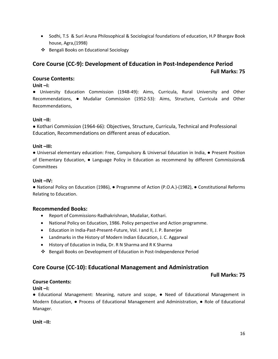- Sodhi, T.S & Suri Aruna Philosophical & Sociological foundations of education, H.P Bhargav Book house, Agra,(1998)
- ❖ Bengali Books on Educational Sociology

# **Core Course (CC-9): Development of Education in Post-Independence Period Full Marks: 75**

## **Course Contents:**

## **Unit –I:**

● University Education Commission (1948-49): Aims, Curricula, Rural University and Other Recommendations, ● Mudaliar Commission (1952-53): Aims, Structure, Curricula and Other Recommendations,

## **Unit –II:**

● Kothari Commission (1964-66): Objectives, Structure, Curricula, Technical and Professional Education, Recommendations on different areas of education.

## **Unit –III:**

● Universal elementary education: Free, Compulsory & Universal Education in India, ● Present Position of Elementary Education, ● Language Policy in Education as recommend by different Commissions& Committees

## **Unit –IV:**

● National Policy on Education (1986), ● Programme of Action (P.O.A.)-(1982), ● Constitutional Reforms Relating to Education.

## **Recommended Books:**

- Report of Commissions-Radhakrishnan, Mudaliar, Kothari.
- National Policy on Education, 1986. Policy perspective and Action programme.
- Education in India-Past-Present-Future, Vol. I and II, J. P. Banerjee
- Landmarks in the History of Modern Indian Education, J. C. Aggarwal
- History of Education in India, Dr. R N Sharma and R K Sharma
- Bengali Books on Development of Education in Post-Independence Period

## **Core Course (CC-10): Educational Management and Administration**

**Full Marks: 75**

## **Course Contents:**

**Unit –I:**

● Educational Management: Meaning, nature and scope, ● Need of Educational Management in Modern Education, ● Process of Educational Management and Administration, ● Role of Educational Manager.

**Unit –II:**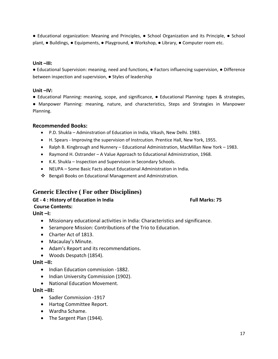● Educational organization: Meaning and Principles, ● School Organization and its Principle, ● School plant, ● Buildings, ● Equipments, ● Playground, ● Workshop, ● Library, ● Computer room etc.

## **Unit –III:**

● Educational Supervision: meaning, need and functions, ● Factors influencing supervision, ● Difference between inspection and supervision, ● Styles of leadership

## **Unit –IV:**

● Educational Planning: meaning, scope, and significance, ● Educational Planning: types & strategies, ● Manpower Planning: meaning, nature, and characteristics, Steps and Strategies in Manpower Planning.

## **Recommended Books:**

- P.D. Shukla Adminstration of Education in India, Vikash, New Delhi. 1983.
- H. Spears Improving the supervision of Instrcution. Prentice Hall, New York, 1955.
- Ralph B. Kingbrough and Nunnery Educational Administration, MacMillan New York 1983.
- Raymond H. Ostrander A Value Approach to Educational Administration, 1968.
- K.K. Shukla Inspection and Supervision in Secondary Schools.
- NEUPA Some Basic Facts about Educational Administration in India.
- $\cdot$  Bengali Books on Educational Management and Administration.

## **Generic Elective ( For other Disciplines)**

**GE - 4 : History of Education in India Full Marks: 75** 

## **Course Contents:**

**Unit –I:** 

- Missionary educational activities in India: Characteristics and significance.
- Serampore Mission: Contributions of the Trio to Education.
- Charter Act of 1813.
- Macaulay's Minute.
- Adam's Report and its recommendations.
- Woods Despatch (1854).

## **Unit –II:**

- Indian Education commission -1882.
- Indian University Commission (1902).
- National Education Movement.

## **Unit –III:**

- Sadler Commission -1917
- Hartog Committee Report.
- Wardha Schame.
- The Sargent Plan (1944).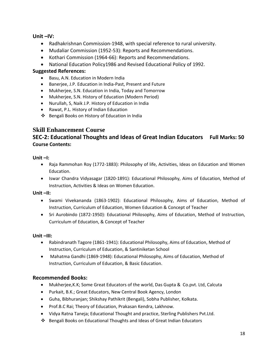## **Unit –IV:**

- Radhakrishnan Commission-1948, with special reference to rural university.
- Mudaliar Commission (1952-53): Reports and Recommendations.
- Kothari Commission (1964-66): Reports and Recommendations.
- National Education Policy1986 and Revised Educational Policy of 1992.

## **Suggested References:**

- Basu, A.N. Education in Modern India
- Banerjee, J.P. Education in India-Past, Present and Future
- Mukherjee, S.N. Education in India, Today and Tomorrow
- Mukherjee, S.N. History of Education (Modern Period)
- Nurullah, S, Naik J.P. History of Education in India
- Rawat, P.L. History of Indian Education
- Bengali Books on History of Education in India

## **Skill Enhancement Course**

## **SEC-2: Educational Thoughts and Ideas of Great Indian Educators Full Marks: 50 Course Contents:**

## **Unit –I:**

- Raja Rammohan Roy (1772-1883): Philosophy of life, Activities, Ideas on Education and Women Education.
- Iswar Chandra Vidyasagar (1820-1891): Educational Philosophy, Aims of Education, Method of Instruction, Activities & Ideas on Women Education.

## **Unit –II:**

- Swami Vivekananda (1863-1902): Educational Philosophy, Aims of Education, Method of Instruction, Curriculum of Education, Women Education & Concept of Teacher
- Sri Aurobindo (1872-1950): Educational Philosophy, Aims of Education, Method of Instruction, Curriculum of Education, & Concept of Teacher

## **Unit –III:**

- Rabindranath Tagore (1861-1941): Educational Philosophy, Aims of Education, Method of Instruction, Curriculum of Education, & Santiniketan School
- Mahatma Gandhi (1869-1948): Educational Philosophy, Aims of Education, Method of Instruction, Curriculum of Education, & Basic Education.

- Mukherjee,K.K; Some Great Educators of the world, Das Gupta & Co.pvt. Ltd, Calcuta
- Purkait, B.K.; Great Educators, New Central Book Agency, London
- Guha, Bibhuranjan; Shikshay Pathikrit (Bengali), Sobha Publisher, Kolkata.
- Prof.B.C Rai; Theory of Education, Prakasan Kendra, Lakhnow.
- Vidya Ratna Taneja; Educational Thought and practice, Sterling Publishers Pvt.Ltd.
- Bengali Books on Educational Thoughts and Ideas of Great Indian Educators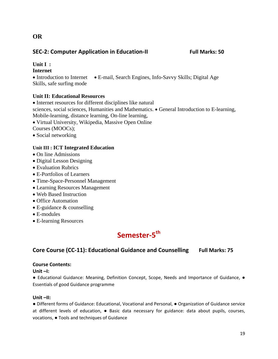## **SEC-2: Computer Application in Education-II Full Marks: 50**

## **Unit I :**

**OR**

## **Internet**

• Introduction to Internet • E-mail, Search Engines, Info-Savvy Skills; Digital Age Skills, safe surfing mode

## **Unit II: Educational Resources**

• Internet resources for different disciplines like natural

sciences, social sciences, Humanities and Mathematics. • General Introduction to E-learning, Mobile-learning, distance learning, On-line learning,

• Virtual University, Wikipedia, Massive Open Online

Courses (MOOCs);

• Social networking

## **Unit III : ICT Integrated Education**

- On line Admissions
- Digital Lesson Designing
- Evaluation Rubrics
- E-Portfolios of Learners
- Time-Space-Personnel Management
- Learning Resources Management
- Web Based Instruction
- Office Automation
- E-guidance & counselling
- E-modules
- E-learning Resources

## Semester-5<sup>th</sup>

## **Core Course (CC-11): Educational Guidance and Counselling Full Marks: 75**

## **Course Contents:**

## **Unit –I:**

● Educational Guidance: Meaning, Definition Concept, Scope, Needs and Importance of Guidance, ● Essentials of good Guidance programme

## **Unit –II:**

● Different forms of Guidance: Educational, Vocational and Personal, ● Organization of Guidance service at different levels of education,  $\bullet$  Basic data necessary for guidance: data about pupils, courses, vocations, ● Tools and techniques of Guidance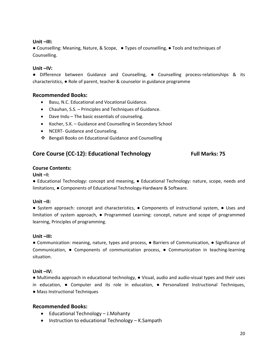## **Unit –III:**

● Counselling: Meaning, Nature, & Scope, ● Types of counselling, ● Tools and techniques of Counselling.

## **Unit –IV:**

● Difference between Guidance and Counselling, ● Counselling process-relationships & its characteristics, ● Role of parent, teacher & counselor in guidance programme

## **Recommended Books:**

- Basu, N.C. Educational and Vocational Guidance.
- Chauhan, S.S. Principles and Techniques of Guidance.
- Dave Indu The basic essentials of counseling.
- Kocher, S.K. Guidance and Counselling in Secondary School
- NCERT- Guidance and Counseling.
- ❖ Bengali Books on Educational Guidance and Counselling

## Core Course (CC-12): Educational Technology Full Marks: 75

### **Course Contents:**

### **Unit –I:**

● Educational Technology: concept and meaning, ● Educational Technology: nature, scope, needs and limitations, ● Components of Educational Technology-Hardware & Software.

### **Unit –II:**

● System approach: concept and characteristics, ● Components of instructional system, ● Uses and limitation of system approach, ● Programmed Learning: concept, nature and scope of programmed learning, Principles of programming.

### **Unit –III:**

● Communication: meaning, nature, types and process, ● Barriers of Communication, ● Significance of Communication, ● Components of communication process, ● Communication in teaching-learning situation.

### **Unit –IV:**

● Multimedia approach in educational technology, ● Visual, audio and audio-visual types and their uses in education, ● Computer and its role in education, ● Personalized Instructional Techniques, ● Mass Instructional Techniques

- Educational Technology J.Mohanty
- Instruction to educational Technology K.Sampath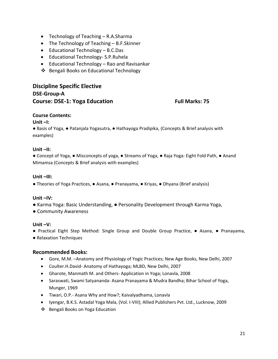- Technology of Teaching R.A.Sharma
- The Technology of Teaching B.F.Skinner
- Educational Technology B.C.Das
- Educational Technology- S.P.Ruhela
- Educational Technology Rao and Ravisankar
- ❖ Bengali Books on Educational Technology

## **Discipline Specific Elective DSE-Group-A Course: DSE-1: Yoga Education Full Marks: 75**

## **Course Contents:**

## **Unit –I:**

● Basis of Yoga, ● Patanjala Yogasutra, ● Hathayoga Pradipika, (Concepts & Brief analysis with examples)

## **Unit –II:**

● Concept of Yoga, ● Misconcepts of yoga, ● Streams of Yoga, ● Raja Yoga: Eight Fold Path, ● Anand Mimamsa (Concepts & Brief analysis with examples)

## **Unit –III:**

● Theories of Yoga Practices, ● Asana, ● Pranayama, ● Kriyas, ● Dhyana (Brief analysis)

## **Unit –IV:**

- Karma Yoga: Basic Understanding, Personality Development through Karma Yoga,
- Community Awareness

## **Unit –V:**

● Practical Eight Step Method: Single Group and Double Group Practice, ● Asana, ● Pranayama,

● Relaxation Techniques

- Gore, M.M. –Anatomy and Physiology of Yogic Practices; New Age Books, New Delhi, 2007
- Coulter.H.David- Anatomy of Hathayoga; MLBD, New Delhi, 2007
- Gharote, Manmath M. and Others- Application in Yoga; Lonavla, 2008
- Saraswati, Swami Satyananda- Asana Pranayama & Mudra Bandha; Bihar School of Yoga, Munger, 1969
- Tiwari, O.P.- Asana Why and How?; Kaivalyadhama, Lonavla
- Iyengar, B.K.S. Astadal Yoga Mala, (Vol. I-VIII); Allied Publishers Pvt. Ltd., Lucknow, 2009
- Bengali Books on Yoga Education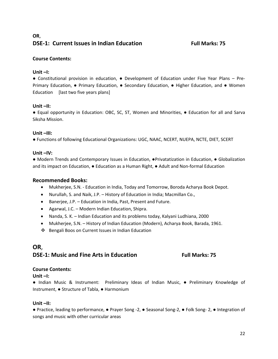## **OR**, **DSE-1: Current Issues in Indian Education Full Marks: 75**

## **Course Contents:**

## **Unit –I:**

● Constitutional provision in education, ● Development of Education under Five Year Plans – Pre-Primary Education, • Primary Education, • Secondary Education, • Higher Education, and • Women Education [last two five years plans]

## **Unit –II:**

● Equal opportunity in Education: OBC, SC, ST, Women and Minorities, ● Education for all and Sarva Siksha Mission.

## **Unit –III:**

● Functions of following Educational Organizations: UGC, NAAC, NCERT, NUEPA, NCTE, DIET, SCERT

## **Unit –IV:**

● Modern Trends and Contemporary Issues in Education, ●Privatatization in Education, ● Globalization and its impact on Education, ● Education as a Human Right, ● Adult and Non-formal Education

## **Recommended Books:**

- Mukherjee, S.N. Education in India, Today and Tomorrow, Boroda Acharya Book Depot.
- Nurullah, S. and Naik, J.P. History of Education in India; Macmillan Co.,
- Banerjee, J.P. Education in India, Past, Present and Future.
- Agarwal, J.C. Modern Indian Education, Shipra.
- Nanda, S. K. Indian Education and its problems today, Kalyani Ludhiana, 2000
- Mukherjee, S.N. History of Indian Education (Modern), Acharya Book, Barada, 1961.
- Bengali Boos on Current Issues in Indian Education

## **OR**,

## **DSE-1: Music and Fine Arts in Education Full Marks: 75**

## **Course Contents:**

**Unit –I:**

● Indian Music & Instrument: Preliminary Ideas of Indian Music, ● Preliminary Knowledge of Instrument, ● Structure of Tabla, ● Harmonium

### **Unit –II:**

● Practice, leading to performance, ● Prayer Song -2, ● Seasonal Song-2, ● Folk Song- 2, ● Integration of songs and music with other curricular areas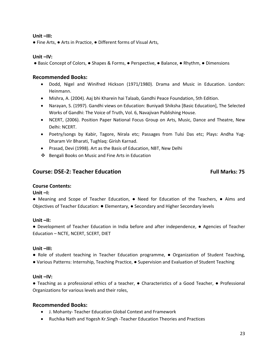### **Unit –III:**

● Fine Arts, ● Arts in Practice, ● Different forms of Visual Arts,

## **Unit –IV:**

● Basic Concept of Colors, ● Shapes & Forms, ● Perspective, ● Balance, ● Rhythm, ● Dimensions

## **Recommended Books:**

- Dodd, Nigel and Winifred Hickson (1971/1980). Drama and Music in Education. London: Heinmann.
- Mishra, A. (2004). Aaj bhi Kharein hai Talaab, Gandhi Peace Foundation, 5th Edition.
- Narayan, S. (1997). Gandhi views on Education: Buniyadi Shiksha [Basic Education], The Selected Works of Gandhi: The Voice of Truth, Vol. 6, Navajivan Publishing House.
- NCERT, (2006). Position Paper National Focus Group on Arts, Music, Dance and Theatre, New Delhi: NCERT.
- Poetry/songs by Kabir, Tagore, Nirala etc; Passages from Tulsi Das etc; Plays: Andha Yug-Dharam Vir Bharati, Tughlaq: Girish Karnad.
- Prasad, Devi (1998). Art as the Basis of Education, NBT, New Delhi
- ❖ Bengali Books on Music and Fine Arts in Education

## **Course: DSE-2: Teacher Education Full Marks: 75**

## **Course Contents:**

## **Unit –I:**

● Meaning and Scope of Teacher Education, ● Need for Education of the Teachers, ● Aims and Objectives of Teacher Education: ● Elementary, ● Secondary and Higher Secondary levels

### **Unit –II:**

● Development of Teacher Education in India before and after independence, ● Agencies of Teacher Education – NCTE, NCERT, SCERT, DIET

### **Unit –III:**

- Role of student teaching in Teacher Education programme, Organization of Student Teaching,
- Various Patterns: Internship, Teaching Practice, Supervision and Evaluation of Student Teaching

### **Unit –IV:**

● Teaching as a professional ethics of a teacher, ● Characteristics of a Good Teacher, ● Professional Organizations for various levels and their roles,

- J. Mohanty- Teacher Education Global Context and Framework
- Ruchika Nath and Yogesh Kr.Singh -Teacher Education Theories and Practices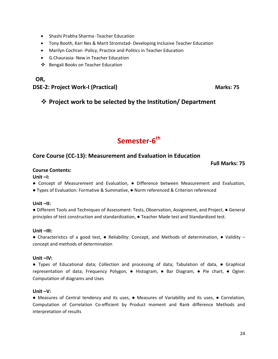- Shashi Prabha Sharma -Teacher Education
- Tony Booth, Kari Nes & Marit Stromstad- Developing Inclusive Teacher Education
- Marilyn Cochran -Policy, Practice and Politics in Teacher Education
- G.Chaurasia- New in Teacher Education
- Bengali Books on Teacher Education

## **OR, DSE-2: Project Work-I (Practical)** Marks: 75

## **Project work to be selected by the Institution/ Department**

## Semester-6<sup>th</sup>

## **Core Course (CC-13): Measurement and Evaluation in Education**

### **Full Marks: 75**

## **Course Contents:**

**Unit –I:**

● Concept of Measurement and Evaluation, ● Difference between Measurement and Evaluation,

● Types of Evaluation: Formative & Summative, ● Norm referenced & Criterion referenced

### **Unit –II:**

● Different Tools and Techniques of Assessment: Tests, Observation, Assignment, and Project, ● General principles of test construction and standardization, ● Teacher Made test and Standardized test.

### **Unit –III:**

● Characteristics of a good test, ● Reliability: Concept, and Methods of determination, ● Validity – concept and methods of determination

### **Unit –IV:**

● Types of Educational data; Collection and processing of data; Tabulation of data, ● Graphical representation of data; Frequency Polygon, ● Histogram, ● Bar Diagram, ● Pie chart, ● Ogive: Computation of diagrams and Uses

## **Unit –V:**

● Measures of Central tendency and its uses, ● Measures of Variability and its uses, ● Correlation, Computation of Correlation Co-efficient by Product moment and Rank difference Methods and interpretation of results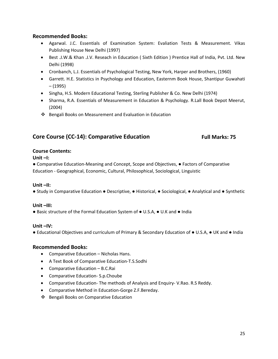## **Recommended Books:**

- Agarwal. J.C. Essentials of Examination System: Evaliation Tests & Measurement. Vikas Publishing House New Delhi (1997)
- Best .J.W.& Khan .J.V. Reseach in Education ( Sixth Edition ) Prentice Hall of India, Pvt. Ltd. New Delhi (1998)
- Cronbanch, L.J. Essentials of Psychological Testing, New York, Harper and Brothers, (1960)
- Garrett. H.E. Statistics in Psychology and Education, Easternm Book House, Shantipur Guwahati – (1995)
- Singha, H.S. Modern Educational Testing, Sterling Publisher & Co. New Delhi (1974)
- Sharma, R.A. Essentials of Measurement in Education & Psychology. R.Lall Book Depot Meerut, (2004)
- ❖ Bengali Books on Measurement and Evaluation in Education

## Core Course (CC-14): Comparative Education Full Marks: 75

## **Course Contents:**

## **Unit –I:**

● Comparative Education-Meaning and Concept, Scope and Objectives, ● Factors of Comparative Education - Geographical, Economic, Cultural, Philosophical, Sociological, Linguistic

## **Unit –II:**

● Study in Comparative Education ● Descriptive, ● Historical, ● Sociological, ● Analytical and ● Synthetic

## **Unit –III:**

● Basic structure of the Formal Education System of ● U.S.A, ● U.K and ● India

## **Unit –IV:**

● Educational Objectives and curriculum of Primary & Secondary Education of ● U.S.A, ● UK and ● India

- Comparative Education Nicholas Hans.
- A Text Book of Comparative Education-T.S.Sodhi
- Comparative Education B.C.Rai
- Comparative Education- S.p.Choube
- Comparative Education- The methods of Analysis and Enquiry- V.Rao. R.S Reddy.
- Comparative Method in Education-Gorge Z.F.Bereday.
- Bengali Books on Comparative Education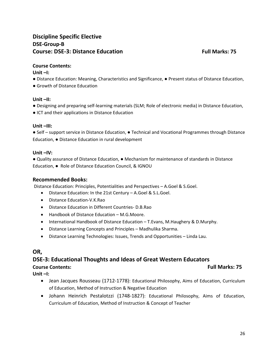## **Discipline Specific Elective DSE-Group-B Course: DSE-3: Distance Education Full Marks: 75**

## **Course Contents:**

**Unit –I:**

- Distance Education: Meaning, Characteristics and Significance, Present status of Distance Education,
- Growth of Distance Education

## **Unit –II:**

- Designing and preparing self-learning materials (SLM; Role of electronic media) in Distance Education,
- ICT and their applications in Distance Education

## **Unit –III:**

● Self – support service in Distance Education, ● Technical and Vocational Programmes through Distance Education, ● Distance Education in rural development

## **Unit –IV:**

● Quality assurance of Distance Education, ● Mechanism for maintenance of standards in Distance Education, ● Role of Distance Education Council, & IGNOU

## **Recommended Books:**

Distance Education: Principles, Potentialities and Perspectives – A.Goel & S.Goel.

- Distance Education: In the 21st Century A.Goel & S.L.Goel.
- Distance Education-V.K.Rao
- Distance Education in Different Countries- D.B.Rao
- Handbook of Distance Education M.G.Moore.
- International Handbook of Distance Education T.Evans, M.Haughery & D.Murphy.
- Distance Learning Concepts and Principles Madhulika Sharma.
- Distance Learning Technologies: Issues, Trends and Opportunities Linda Lau.

## **OR,**

## **DSE-3: Educational Thoughts and Ideas of Great Western Educators**

## **Course Contents: Full Marks: 75**

**Unit –I:**

- Jean Jacques Rousseau (1712-1778): Educational Philosophy, Aims of Education, Curriculum of Education, Method of Instruction & Negative Education
- Johann Heinrich Pestalotzzi (1748-1827): Educational Philosophy, Aims of Education, Curriculum of Education, Method of Instruction & Concept of Teacher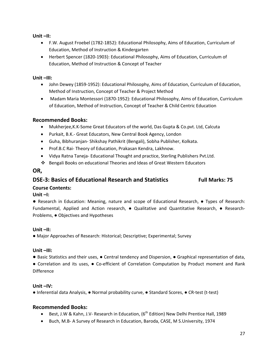**Unit –II:**

- F.W. August Froebel (1782-1852): Educational Philosophy, Aims of Education, Curriculum of Education, Method of Instruction & Kindergarten
- Herbert Spencer (1820-1903): Educational Philosophy, Aims of Education, Curriculum of Education, Method of Instruction & Concept of Teacher

## **Unit –III:**

- John Dewey (1859-1952): Educational Philosophy, Aims of Education, Curriculum of Education, Method of Instruction, Concept of Teacher & Project Method
- Madam Maria Montessori (1870-1952): Educational Philosophy, Aims of Education, Curriculum of Education, Method of Instruction, Concept of Teacher & Child Centric Education

## **Recommended Books:**

- Mukherjee,K.K-Some Great Educators of the world, Das Gupta & Co.pvt. Ltd, Calcuta
- Purkait, B.K.- Great Educators, New Central Book Agency, London
- Guha, Bibhuranjan- Shikshay Pathikrit (Bengali), Sobha Publisher, Kolkata.
- Prof.B.C Rai- Theory of Education, Prakasan Kendra, Lakhnow.
- Vidya Ratna Taneja- Educational Thought and practice, Sterling Publishers Pvt.Ltd.
- Bengali Books on educational Theories and Ideas of Great Western Educators

## **OR,**

## **DSE-3: Basics of Educational Research and Statistics Full Marks: 75**

## **Course Contents:**

## **Unit –I:**

**●** Research in Education: Meaning, nature and scope of Educational Research, ● Types of Research: Fundamental, Applied and Action research, ● Qualitative and Quantitative Research, ● Research-Problems, ● Objectives and Hypotheses

## **Unit –II:**

● Major Approaches of Research: Historical; Descriptive; Experimental; Survey

## **Unit –III:**

**●** Basic Statistics and their uses, ● Central tendency and Dispersion, ● Graphical representation of data,

● Correlation and its uses, ● Co-efficient of Correlation Computation by Product moment and Rank Difference

## **Unit –IV:**

● Inferential data Analysis, ● Normal probability curve, ● Standard Scores, ● CR-test (t-test)

- Best, J.W & Kahn, J.V- Research in Education, (6<sup>th</sup> Edition) New Delhi Prentice Hall, 1989
- Buch, M.B- A Survey of Research in Education, Baroda, CASE, M S.University, 1974